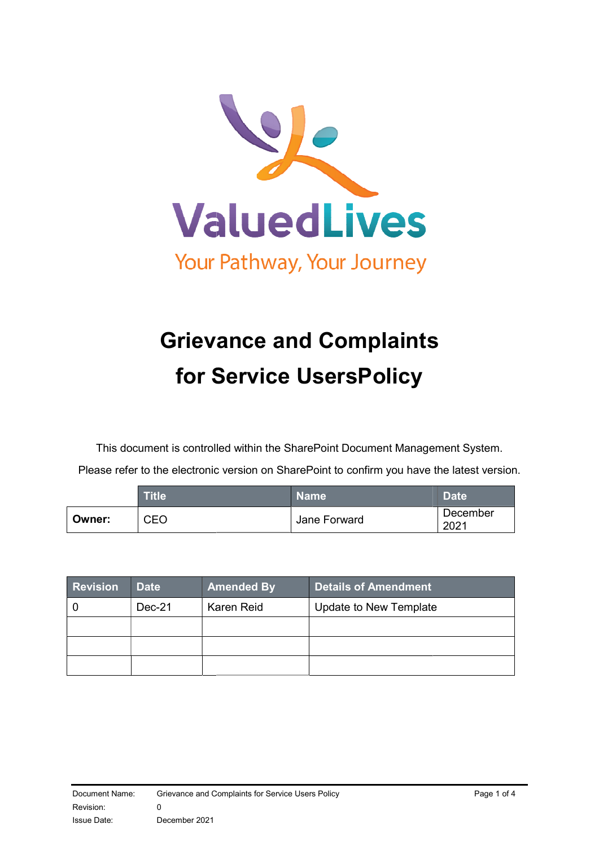

# Grievance and Complaints for Service Users UsersPolicy

This document is controlled within the SharePoint Document Management System.

Please refer to the electronic version on SharePoint to confirm you have the latest version.

|        | <b>Title</b> ' | <b>Name</b>  | <b>Date</b>      |
|--------|----------------|--------------|------------------|
| Owner: | CEO            | Jane Forward | December<br>2021 |

| <b>Revision</b> | <b>Date</b> | <b>Amended By</b> | Details of Amendment   |
|-----------------|-------------|-------------------|------------------------|
|                 | Dec-21      | Karen Reid        | Update to New Template |
|                 |             |                   |                        |
|                 |             |                   |                        |
|                 |             |                   |                        |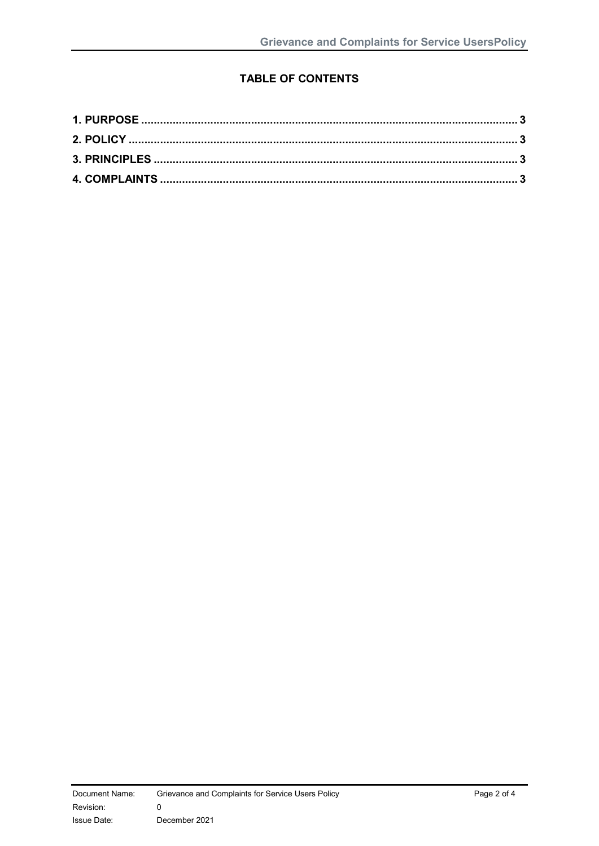## **TABLE OF CONTENTS**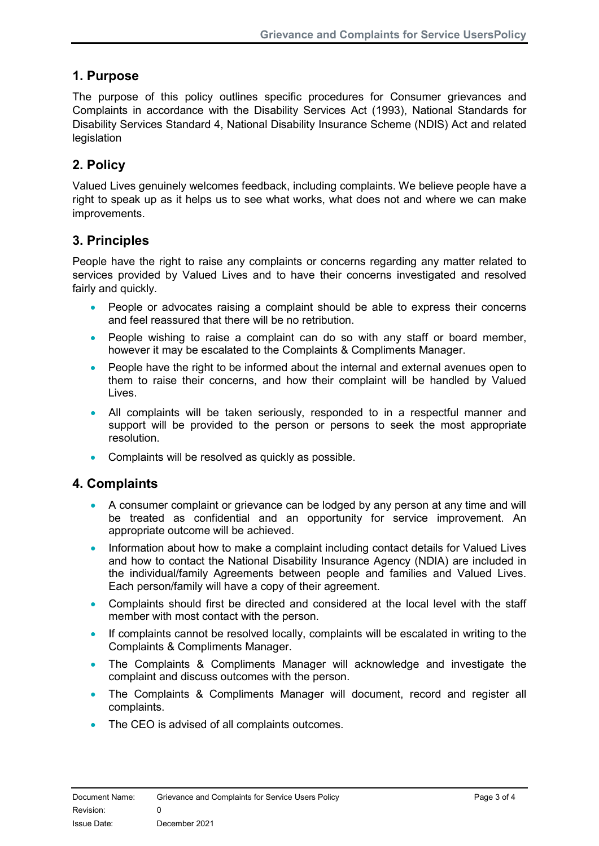## 1. Purpose

The purpose of this policy outlines specific procedures for Consumer grievances and Complaints in accordance with the Disability Services Act (1993), National Standards for Disability Services Standard 4, National Disability Insurance Scheme (NDIS) Act and related legislation

# 2. Policy

Valued Lives genuinely welcomes feedback, including complaints. We believe people have a right to speak up as it helps us to see what works, what does not and where we can make improvements.

### 3. Principles

People have the right to raise any complaints or concerns regarding any matter related to services provided by Valued Lives and to have their concerns investigated and resolved fairly and quickly.

- People or advocates raising a complaint should be able to express their concerns and feel reassured that there will be no retribution.
- People wishing to raise a complaint can do so with any staff or board member, however it may be escalated to the Complaints & Compliments Manager.
- People have the right to be informed about the internal and external avenues open to them to raise their concerns, and how their complaint will be handled by Valued Lives.
- All complaints will be taken seriously, responded to in a respectful manner and support will be provided to the person or persons to seek the most appropriate resolution.
- Complaints will be resolved as quickly as possible.

#### 4. Complaints

- A consumer complaint or grievance can be lodged by any person at any time and will be treated as confidential and an opportunity for service improvement. An appropriate outcome will be achieved.
- Information about how to make a complaint including contact details for Valued Lives and how to contact the National Disability Insurance Agency (NDIA) are included in the individual/family Agreements between people and families and Valued Lives. Each person/family will have a copy of their agreement.
- Complaints should first be directed and considered at the local level with the staff member with most contact with the person.
- If complaints cannot be resolved locally, complaints will be escalated in writing to the Complaints & Compliments Manager.
- The Complaints & Compliments Manager will acknowledge and investigate the complaint and discuss outcomes with the person.
- The Complaints & Compliments Manager will document, record and register all complaints.
- The CEO is advised of all complaints outcomes.